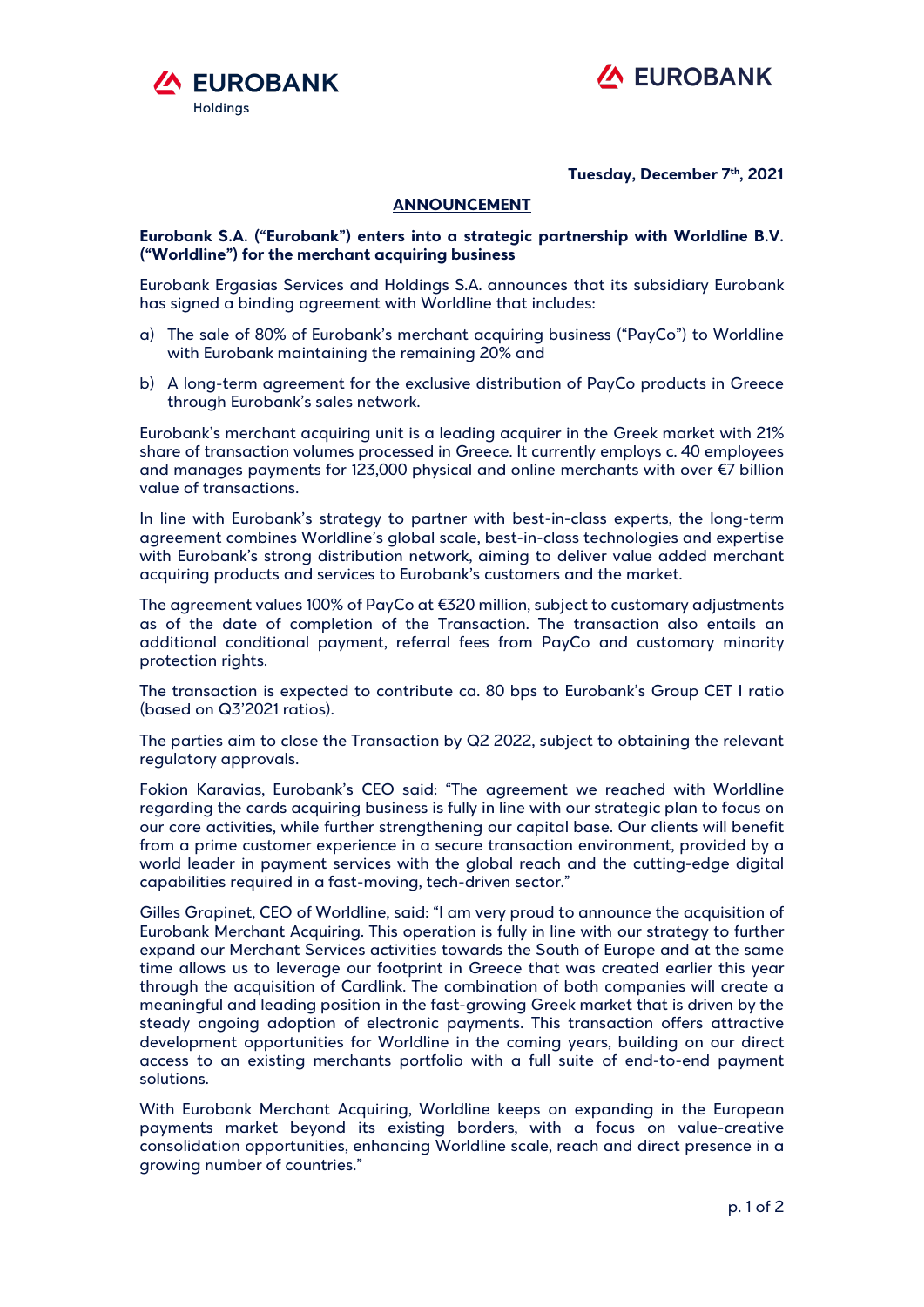



**Tuesday, December 7th, 2021**

## **ANNOUNCEMENT**

**Eurobank S.A. ("Eurobank") enters into a strategic partnership with Worldline B.V. ("Worldline") for the merchant acquiring business** 

Eurobank Ergasias Services and Holdings S.A. announces that its subsidiary Eurobank has signed a binding agreement with Worldline that includes:

- a) The sale of 80% of Eurobank's merchant acquiring business ("PayCo") to Worldline with Eurobank maintaining the remaining 20% and
- b) A long-term agreement for the exclusive distribution of PayCo products in Greece through Eurobank's sales network.

Eurobank's merchant acquiring unit is a leading acquirer in the Greek market with 21% share of transaction volumes processed in Greece. It currently employs c. 40 employees and manages payments for 123,000 physical and online merchants with over €7 billion value of transactions.

In line with Eurobank's strategy to partner with best-in-class experts, the long-term agreement combines Worldline's global scale, best-in-class technologies and expertise with Eurobank's strong distribution network, aiming to deliver value added merchant acquiring products and services to Eurobank's customers and the market.

The agreement values 100% of PayCo at €320 million, subject to customary adjustments as of the date of completion of the Transaction. The transaction also entails an additional conditional payment, referral fees from PayCo and customary minority protection rights.

The transaction is expected to contribute ca. 80 bps to Eurobank's Group CET I ratio (based on Q3'2021 ratios).

The parties aim to close the Transaction by Q2 2022, subject to obtaining the relevant regulatory approvals.

Fokion Karavias, Eurobank's CEO said: "The agreement we reached with Worldline regarding the cards acquiring business is fully in line with our strategic plan to focus on our core activities, while further strengthening our capital base. Our clients will benefit from a prime customer experience in a secure transaction environment, provided by a world leader in payment services with the global reach and the cutting-edge digital capabilities required in a fast-moving, tech-driven sector."

Gilles Grapinet, CEO of Worldline, said: "I am very proud to announce the acquisition of Eurobank Merchant Acquiring. This operation is fully in line with our strategy to further expand our Merchant Services activities towards the South of Europe and at the same time allows us to leverage our footprint in Greece that was created earlier this year through the acquisition of Cardlink. The combination of both companies will create a meaningful and leading position in the fast-growing Greek market that is driven by the steady ongoing adoption of electronic payments. This transaction offers attractive development opportunities for Worldline in the coming years, building on our direct access to an existing merchants portfolio with a full suite of end-to-end payment solutions.

With Eurobank Merchant Acquiring, Worldline keeps on expanding in the European payments market beyond its existing borders, with a focus on value-creative consolidation opportunities, enhancing Worldline scale, reach and direct presence in a growing number of countries."